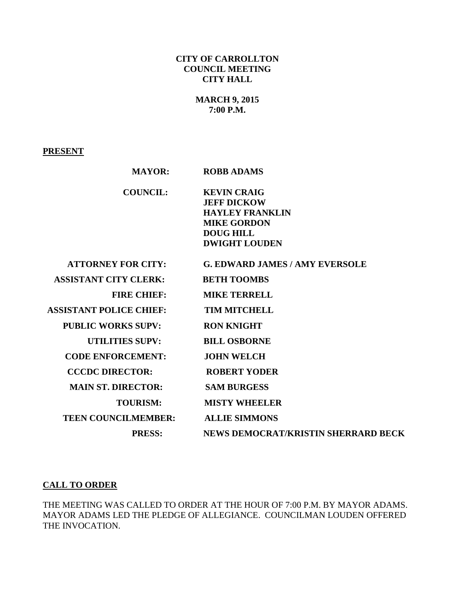## **CITY OF CARROLLTON COUNCIL MEETING CITY HALL**

## **MARCH 9, 2015 7:00 P.M.**

#### **PRESENT**

| <b>MAYOR:</b>                  | <b>ROBB ADAMS</b>                                                                                                                    |
|--------------------------------|--------------------------------------------------------------------------------------------------------------------------------------|
| <b>COUNCIL:</b>                | <b>KEVIN CRAIG</b><br><b>JEFF DICKOW</b><br><b>HAYLEY FRANKLIN</b><br><b>MIKE GORDON</b><br><b>DOUG HILL</b><br><b>DWIGHT LOUDEN</b> |
| <b>ATTORNEY FOR CITY:</b>      | <b>G. EDWARD JAMES / AMY EVERSOLE</b>                                                                                                |
| <b>ASSISTANT CITY CLERK:</b>   | <b>BETH TOOMBS</b>                                                                                                                   |
| <b>FIRE CHIEF:</b>             | <b>MIKE TERRELL</b>                                                                                                                  |
| <b>ASSISTANT POLICE CHIEF:</b> | <b>TIM MITCHELL</b>                                                                                                                  |
| <b>PUBLIC WORKS SUPV:</b>      | <b>RON KNIGHT</b>                                                                                                                    |
| <b>UTILITIES SUPV:</b>         | <b>BILL OSBORNE</b>                                                                                                                  |
| <b>CODE ENFORCEMENT:</b>       | <b>JOHN WELCH</b>                                                                                                                    |
| <b>CCCDC DIRECTOR:</b>         | <b>ROBERT YODER</b>                                                                                                                  |
| <b>MAIN ST. DIRECTOR:</b>      | <b>SAM BURGESS</b>                                                                                                                   |
| <b>TOURISM:</b>                | <b>MISTY WHEELER</b>                                                                                                                 |
| <b>TEEN COUNCILMEMBER:</b>     | <b>ALLIE SIMMONS</b>                                                                                                                 |
| <b>PRESS:</b>                  | NEWS DEMOCRAT/KRISTIN SHERRARD BECK                                                                                                  |

# **CALL TO ORDER**

THE MEETING WAS CALLED TO ORDER AT THE HOUR OF 7:00 P.M. BY MAYOR ADAMS. MAYOR ADAMS LED THE PLEDGE OF ALLEGIANCE. COUNCILMAN LOUDEN OFFERED THE INVOCATION.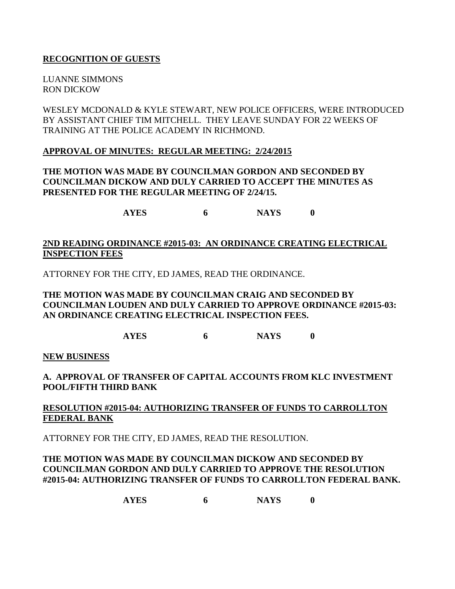### **RECOGNITION OF GUESTS**

LUANNE SIMMONS RON DICKOW

WESLEY MCDONALD & KYLE STEWART, NEW POLICE OFFICERS, WERE INTRODUCED BY ASSISTANT CHIEF TIM MITCHELL. THEY LEAVE SUNDAY FOR 22 WEEKS OF TRAINING AT THE POLICE ACADEMY IN RICHMOND.

#### **APPROVAL OF MINUTES: REGULAR MEETING: 2/24/2015**

## **THE MOTION WAS MADE BY COUNCILMAN GORDON AND SECONDED BY COUNCILMAN DICKOW AND DULY CARRIED TO ACCEPT THE MINUTES AS PRESENTED FOR THE REGULAR MEETING OF 2/24/15.**

**AYES 6 NAYS 0**

### **2ND READING ORDINANCE #2015-03: AN ORDINANCE CREATING ELECTRICAL INSPECTION FEES**

ATTORNEY FOR THE CITY, ED JAMES, READ THE ORDINANCE.

### **THE MOTION WAS MADE BY COUNCILMAN CRAIG AND SECONDED BY COUNCILMAN LOUDEN AND DULY CARRIED TO APPROVE ORDINANCE #2015-03: AN ORDINANCE CREATING ELECTRICAL INSPECTION FEES.**

**AYES 6 NAYS 0**

**NEW BUSINESS**

## **A. APPROVAL OF TRANSFER OF CAPITAL ACCOUNTS FROM KLC INVESTMENT POOL/FIFTH THIRD BANK**

## **RESOLUTION #2015-04: AUTHORIZING TRANSFER OF FUNDS TO CARROLLTON FEDERAL BANK**

ATTORNEY FOR THE CITY, ED JAMES, READ THE RESOLUTION.

### **THE MOTION WAS MADE BY COUNCILMAN DICKOW AND SECONDED BY COUNCILMAN GORDON AND DULY CARRIED TO APPROVE THE RESOLUTION #2015-04: AUTHORIZING TRANSFER OF FUNDS TO CARROLLTON FEDERAL BANK.**

**AYES 6 NAYS 0**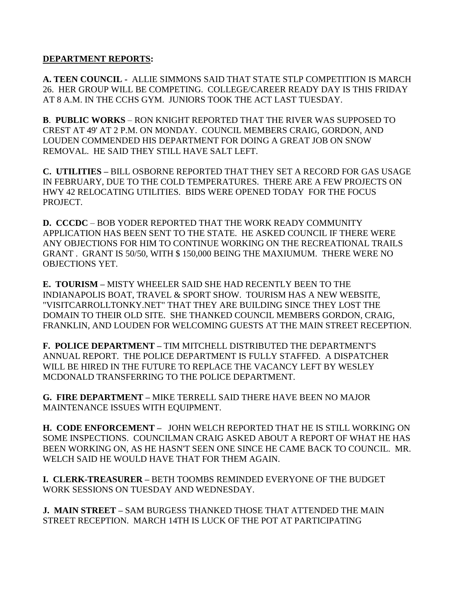#### **DEPARTMENT REPORTS:**

**A. TEEN COUNCIL -** ALLIE SIMMONS SAID THAT STATE STLP COMPETITION IS MARCH 26. HER GROUP WILL BE COMPETING. COLLEGE/CAREER READY DAY IS THIS FRIDAY AT 8 A.M. IN THE CCHS GYM. JUNIORS TOOK THE ACT LAST TUESDAY.

**B**. **PUBLIC WORKS** – RON KNIGHT REPORTED THAT THE RIVER WAS SUPPOSED TO CREST AT 49' AT 2 P.M. ON MONDAY. COUNCIL MEMBERS CRAIG, GORDON, AND LOUDEN COMMENDED HIS DEPARTMENT FOR DOING A GREAT JOB ON SNOW REMOVAL. HE SAID THEY STILL HAVE SALT LEFT.

**C. UTILITIES –** BILL OSBORNE REPORTED THAT THEY SET A RECORD FOR GAS USAGE IN FEBRUARY, DUE TO THE COLD TEMPERATURES. THERE ARE A FEW PROJECTS ON HWY 42 RELOCATING UTILITIES. BIDS WERE OPENED TODAY FOR THE FOCUS PROJECT.

**D. CCCDC** – BOB YODER REPORTED THAT THE WORK READY COMMUNITY APPLICATION HAS BEEN SENT TO THE STATE. HE ASKED COUNCIL IF THERE WERE ANY OBJECTIONS FOR HIM TO CONTINUE WORKING ON THE RECREATIONAL TRAILS GRANT . GRANT IS 50/50, WITH \$ 150,000 BEING THE MAXIUMUM. THERE WERE NO OBJECTIONS YET.

**E. TOURISM –** MISTY WHEELER SAID SHE HAD RECENTLY BEEN TO THE INDIANAPOLIS BOAT, TRAVEL & SPORT SHOW. TOURISM HAS A NEW WEBSITE, "VISITCARROLLTONKY.NET" THAT THEY ARE BUILDING SINCE THEY LOST THE DOMAIN TO THEIR OLD SITE. SHE THANKED COUNCIL MEMBERS GORDON, CRAIG, FRANKLIN, AND LOUDEN FOR WELCOMING GUESTS AT THE MAIN STREET RECEPTION.

**F. POLICE DEPARTMENT –** TIM MITCHELL DISTRIBUTED THE DEPARTMENT'S ANNUAL REPORT. THE POLICE DEPARTMENT IS FULLY STAFFED. A DISPATCHER WILL BE HIRED IN THE FUTURE TO REPLACE THE VACANCY LEFT BY WESLEY MCDONALD TRANSFERRING TO THE POLICE DEPARTMENT.

**G. FIRE DEPARTMENT –** MIKE TERRELL SAID THERE HAVE BEEN NO MAJOR MAINTENANCE ISSUES WITH EQUIPMENT.

**H. CODE ENFORCEMENT –** JOHN WELCH REPORTED THAT HE IS STILL WORKING ON SOME INSPECTIONS. COUNCILMAN CRAIG ASKED ABOUT A REPORT OF WHAT HE HAS BEEN WORKING ON, AS HE HASN'T SEEN ONE SINCE HE CAME BACK TO COUNCIL. MR. WELCH SAID HE WOULD HAVE THAT FOR THEM AGAIN.

**I. CLERK-TREASURER –** BETH TOOMBS REMINDED EVERYONE OF THE BUDGET WORK SESSIONS ON TUESDAY AND WEDNESDAY.

**J. MAIN STREET –** SAM BURGESS THANKED THOSE THAT ATTENDED THE MAIN STREET RECEPTION. MARCH 14TH IS LUCK OF THE POT AT PARTICIPATING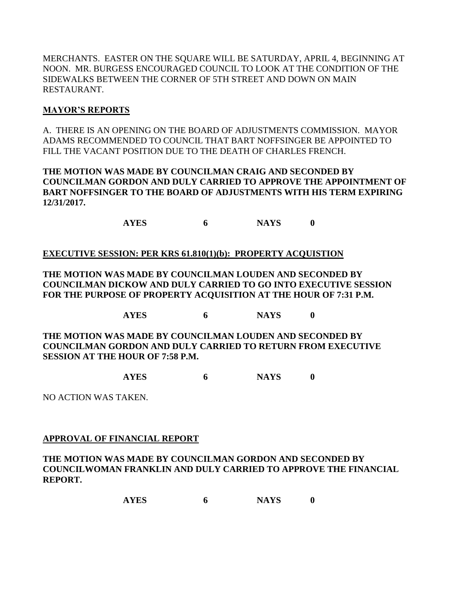MERCHANTS. EASTER ON THE SQUARE WILL BE SATURDAY, APRIL 4, BEGINNING AT NOON. MR. BURGESS ENCOURAGED COUNCIL TO LOOK AT THE CONDITION OF THE SIDEWALKS BETWEEN THE CORNER OF 5TH STREET AND DOWN ON MAIN RESTAURANT.

## **MAYOR'S REPORTS**

A. THERE IS AN OPENING ON THE BOARD OF ADJUSTMENTS COMMISSION. MAYOR ADAMS RECOMMENDED TO COUNCIL THAT BART NOFFSINGER BE APPOINTED TO FILL THE VACANT POSITION DUE TO THE DEATH OF CHARLES FRENCH.

#### **THE MOTION WAS MADE BY COUNCILMAN CRAIG AND SECONDED BY COUNCILMAN GORDON AND DULY CARRIED TO APPROVE THE APPOINTMENT OF BART NOFFSINGER TO THE BOARD OF ADJUSTMENTS WITH HIS TERM EXPIRING 12/31/2017.**

**AYES 6 NAYS 0**

## **EXECUTIVE SESSION: PER KRS 61.810(1)(b): PROPERTY ACQUISTION**

**THE MOTION WAS MADE BY COUNCILMAN LOUDEN AND SECONDED BY COUNCILMAN DICKOW AND DULY CARRIED TO GO INTO EXECUTIVE SESSION FOR THE PURPOSE OF PROPERTY ACQUISITION AT THE HOUR OF 7:31 P.M.**

**AYES 6 NAYS 0**

**THE MOTION WAS MADE BY COUNCILMAN LOUDEN AND SECONDED BY COUNCILMAN GORDON AND DULY CARRIED TO RETURN FROM EXECUTIVE SESSION AT THE HOUR OF 7:58 P.M.**

**AYES 6 NAYS 0**

NO ACTION WAS TAKEN.

## **APPROVAL OF FINANCIAL REPORT**

**THE MOTION WAS MADE BY COUNCILMAN GORDON AND SECONDED BY COUNCILWOMAN FRANKLIN AND DULY CARRIED TO APPROVE THE FINANCIAL REPORT.**

**AYES 6 NAYS 0**